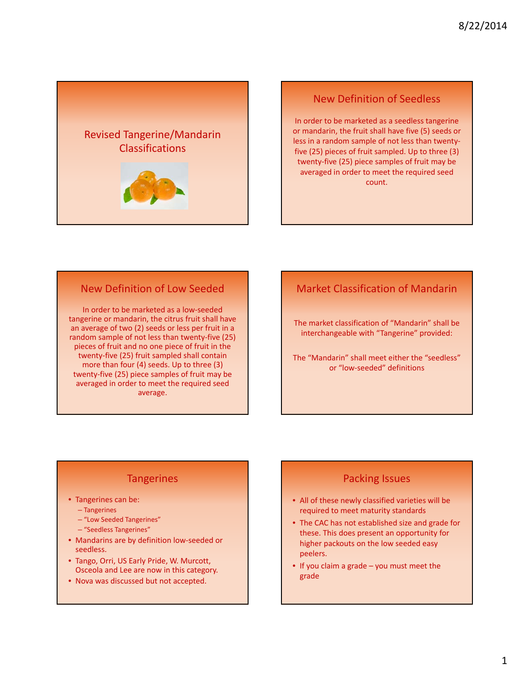

#### New Definition of Seedless

In order to be marketed as a seedless tangerine or mandarin, the fruit shall have five (5) seeds or less in a random sample of not less than twenty‐ five (25) pieces of fruit sampled. Up to three (3) twenty‐five (25) piece samples of fruit may be averaged in order to meet the required seed count.

#### New Definition of Low Seeded

In order to be marketed as a low‐seeded tangerine or mandarin, the citrus fruit shall have an average of two (2) seeds or less per fruit in a random sample of not less than twenty‐five (25) pieces of fruit and no one piece of fruit in the twenty‐five (25) fruit sampled shall contain more than four (4) seeds. Up to three (3) twenty‐five (25) piece samples of fruit may be averaged in order to meet the required seed average.

# Market Classification of Mandarin

The market classification of "Mandarin" shall be interchangeable with "Tangerine" provided:

The "Mandarin" shall meet either the "seedless" or "low‐seeded" definitions

### **Tangerines**

- Tangerines can be:
	- Tangerines
	- "Low Seeded Tangerines"
	- "Seedless Tangerines"
- Mandarins are by definition low-seeded or seedless.
- Tango, Orri, US Early Pride, W. Murcott, Osceola and Lee are now in this category.
- Nova was discussed but not accepted.

### Packing Issues

- All of these newly classified varieties will be required to meet maturity standards
- The CAC has not established size and grade for these. This does present an opportunity for higher packouts on the low seeded easy peelers.
- If you claim a grade you must meet the grade